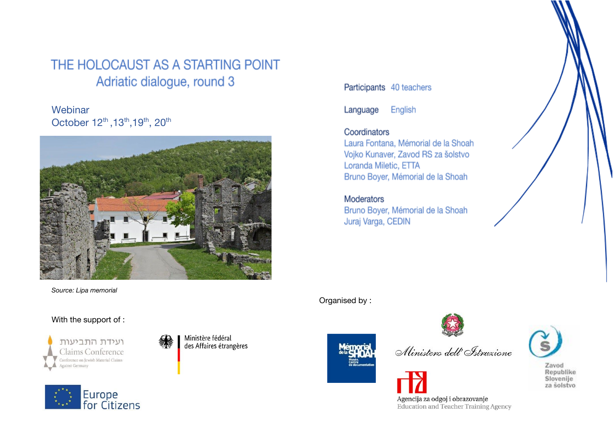#### THE HOLOCAUST AS A STARTING POINT Adriatic dialogue, round 3

**Webinar** October 12<sup>th</sup>, 13<sup>th</sup>, 19<sup>th</sup>, 20<sup>th</sup>



*Source: Lipa memorial*

#### With the support of :







Participants 40 teachers

Language English

#### Coordinators

Laura Fontana, Mémorial de la Shoah Vojko Kunaver, Zavod RS za šolstvo Loranda Miletic, ETTA Bruno Boyer, Mémorial de la Shoah

#### Moderators

Bruno Boyer, Mémorial de la Shoah Juraj Varga, CEDIN

Organised by :





Ministero dell' Istruzione

Agencija za odgoj i obrazovanje Education and Teacher Training Agency

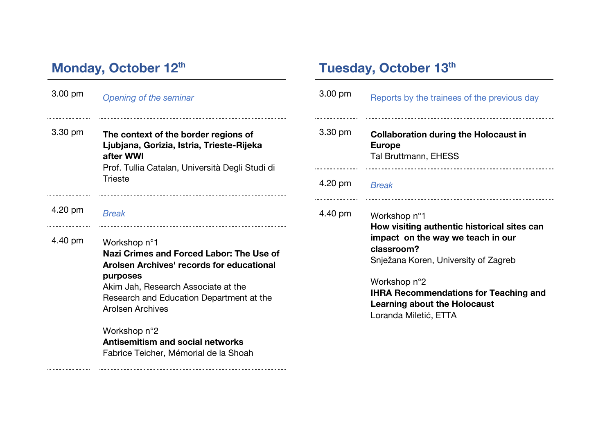# **Monday, October 12th**

 $\sim$   $\sim$   $\sim$ 

| 3.00 pm | Opening of the seminar                                                                                                                                                                                                                                                  | $3.00 \text{ pm}$            |
|---------|-------------------------------------------------------------------------------------------------------------------------------------------------------------------------------------------------------------------------------------------------------------------------|------------------------------|
| 3.30 pm | The context of the border regions of<br>Ljubjana, Gorizia, Istria, Trieste-Rijeka<br>after WWI<br>Prof. Tullia Catalan, Università Degli Studi di<br><b>Trieste</b>                                                                                                     | $3.30 \text{ pm}$<br>4.20 pm |
| 4.20 pm | <b>Break</b>                                                                                                                                                                                                                                                            | 4.40 pm                      |
| 4.40 pm | ------------------------------------<br>Workshop n°1<br>Nazi Crimes and Forced Labor: The Use of<br>Arolsen Archives' records for educational<br>purposes<br>Akim Jah, Research Associate at the<br>Research and Education Department at the<br><b>Arolsen Archives</b> |                              |
|         | Workshop n°2<br><b>Antisemitism and social networks</b><br>Fabrice Teicher, Mémorial de la Shoah                                                                                                                                                                        |                              |

# **Tuesday, October 13th**

| 3.00 pm | Reports by the trainees of the previous day                                                                                                                                                                                                                                            |
|---------|----------------------------------------------------------------------------------------------------------------------------------------------------------------------------------------------------------------------------------------------------------------------------------------|
| 3.30 pm | <b>Collaboration during the Holocaust in</b><br><b>Europe</b><br>Tal Bruttmann, EHESS                                                                                                                                                                                                  |
| 4.20 pm | <b>Break</b>                                                                                                                                                                                                                                                                           |
| 4.40 pm | Workshop n°1<br>How visiting authentic historical sites can<br>impact on the way we teach in our<br>classroom?<br>Snježana Koren, University of Zagreb<br>Workshop n°2<br><b>IHRA Recommendations for Teaching and</b><br><b>Learning about the Holocaust</b><br>Loranda Miletić, ETTA |
|         |                                                                                                                                                                                                                                                                                        |